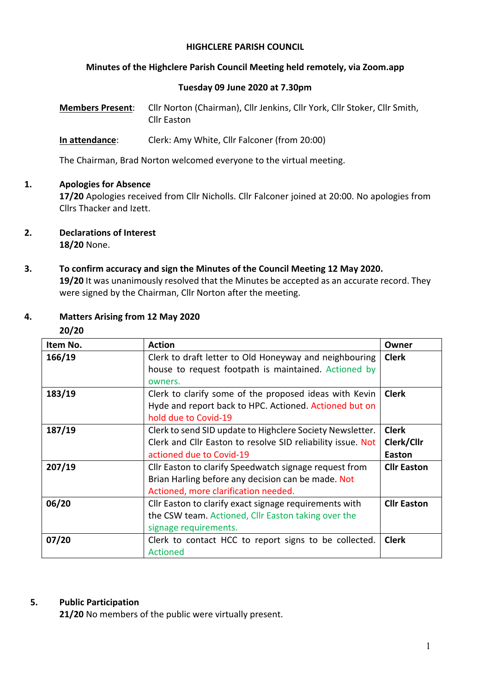### **HIGHCLERE PARISH COUNCIL**

# **Minutes of the Highclere Parish Council Meeting held remotely, via Zoom.app**

## **Tuesday 09 June 2020 at 7.30pm**

**Members Present**: Cllr Norton (Chairman), Cllr Jenkins, Cllr York, Cllr Stoker, Cllr Smith, Cllr Easton

**In attendance**: Clerk: Amy White, Cllr Falconer (from 20:00)

The Chairman, Brad Norton welcomed everyone to the virtual meeting.

## **1. Apologies for Absence**

**17/20** Apologies received from Cllr Nicholls. Cllr Falconer joined at 20:00. No apologies from Cllrs Thacker and Izett.

- **2. Declarations of Interest 18/20** None.
- **3. To confirm accuracy and sign the Minutes of the Council Meeting 12 May 2020. 19/20** It was unanimously resolved that the Minutes be accepted as an accurate record. They were signed by the Chairman, Cllr Norton after the meeting.

## **4. Matters Arising from 12 May 2020**

**20/20**

| Item No. | <b>Action</b>                                                                                                                                        | Owner                                |
|----------|------------------------------------------------------------------------------------------------------------------------------------------------------|--------------------------------------|
| 166/19   | Clerk to draft letter to Old Honeyway and neighbouring<br>house to request footpath is maintained. Actioned by<br>owners.                            | <b>Clerk</b>                         |
| 183/19   | Clerk to clarify some of the proposed ideas with Kevin<br>Hyde and report back to HPC. Actioned. Actioned but on<br>hold due to Covid-19             | <b>Clerk</b>                         |
| 187/19   | Clerk to send SID update to Highclere Society Newsletter.<br>Clerk and Cllr Easton to resolve SID reliability issue. Not<br>actioned due to Covid-19 | <b>Clerk</b><br>Clerk/Cllr<br>Easton |
| 207/19   | Cllr Easton to clarify Speedwatch signage request from<br>Brian Harling before any decision can be made. Not<br>Actioned, more clarification needed. | <b>Cllr Easton</b>                   |
| 06/20    | Cllr Easton to clarify exact signage requirements with<br>the CSW team. Actioned, Cllr Easton taking over the<br>signage requirements.               | <b>Cllr Easton</b>                   |
| 07/20    | Clerk to contact HCC to report signs to be collected.<br><b>Actioned</b>                                                                             | <b>Clerk</b>                         |

# **5. Public Participation**

**21/20** No members of the public were virtually present.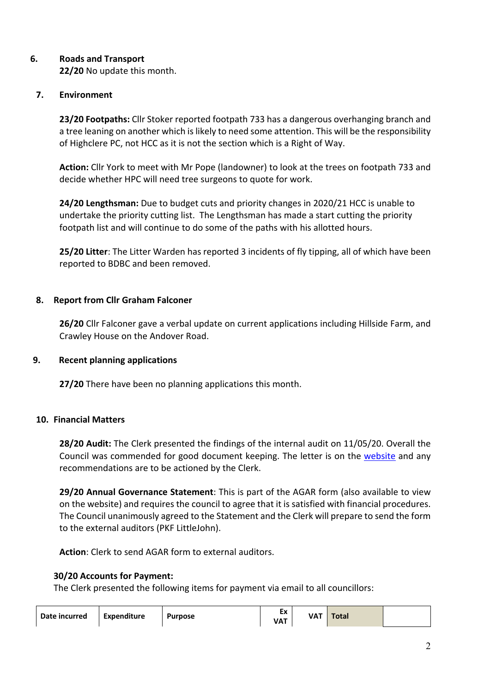# **6. Roads and Transport**

**22/20** No update this month.

# **7. Environment**

**23/20 Footpaths:** Cllr Stoker reported footpath 733 has a dangerous overhanging branch and a tree leaning on another which is likely to need some attention. This will be the responsibility of Highclere PC, not HCC as it is not the section which is a Right of Way.

**Action:** Cllr York to meet with Mr Pope (landowner) to look at the trees on footpath 733 and decide whether HPC will need tree surgeons to quote for work.

**24/20 Lengthsman:** Due to budget cuts and priority changes in 2020/21 HCC is unable to undertake the priority cutting list. The Lengthsman has made a start cutting the priority footpath list and will continue to do some of the paths with his allotted hours.

**25/20 Litter**: The Litter Warden has reported 3 incidents of fly tipping, all of which have been reported to BDBC and been removed.

# **8. Report from Cllr Graham Falconer**

**26/20** Cllr Falconer gave a verbal update on current applications including Hillside Farm, and Crawley House on the Andover Road.

# **9. Recent planning applications**

**27/20** There have been no planning applications this month.

# **10. Financial Matters**

**28/20 Audit:** The Clerk presented the findings of the internal audit on 11/05/20. Overall the Council was commended for good document keeping. The letter is on the website and any recommendations are to be actioned by the Clerk.

**29/20 Annual Governance Statement**: This is part of the AGAR form (also available to view on the website) and requires the council to agree that it is satisfied with financial procedures. The Council unanimously agreed to the Statement and the Clerk will prepare to send the form to the external auditors (PKF LittleJohn).

**Action**: Clerk to send AGAR form to external auditors.

# **30/20 Accounts for Payment:**

The Clerk presented the following items for payment via email to all councillors:

| Date incurred | <b>Expenditure</b> | <b>Purpose</b> | -<br>÷ν<br>⊷<br>VAT | VAT | Total |  |
|---------------|--------------------|----------------|---------------------|-----|-------|--|
|---------------|--------------------|----------------|---------------------|-----|-------|--|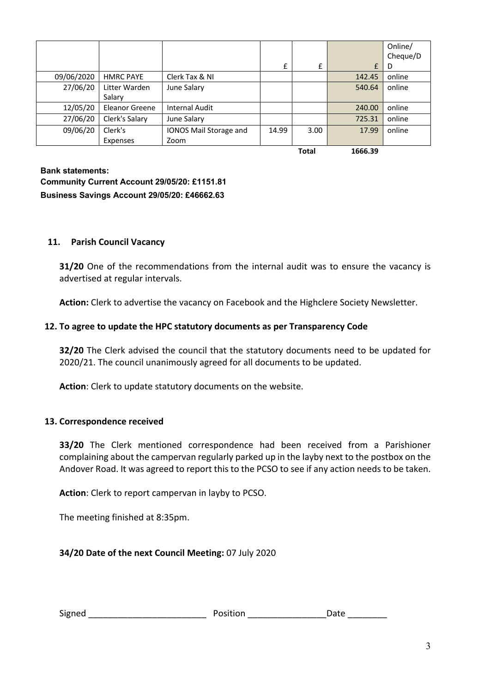|            |                  |                        |       |              |         | Online/<br>Cheque/D |
|------------|------------------|------------------------|-------|--------------|---------|---------------------|
|            |                  |                        |       |              |         |                     |
|            |                  |                        | £     | £            | £       | D                   |
| 09/06/2020 | <b>HMRC PAYE</b> | Clerk Tax & NI         |       |              | 142.45  | online              |
| 27/06/20   | Litter Warden    | June Salary            |       |              | 540.64  | online              |
|            | Salary           |                        |       |              |         |                     |
| 12/05/20   | Eleanor Greene   | <b>Internal Audit</b>  |       |              | 240.00  | online              |
| 27/06/20   | Clerk's Salary   | June Salary            |       |              | 725.31  | online              |
| 09/06/20   | Clerk's          | IONOS Mail Storage and | 14.99 | 3.00         | 17.99   | online              |
|            | Expenses         | Zoom                   |       |              |         |                     |
|            |                  |                        |       | <b>Total</b> | 1666.39 |                     |

**Bank statements: Community Current Account 29/05/20: £1151.81 Business Savings Account 29/05/20: £46662.63**

## **11. Parish Council Vacancy**

**31/20** One of the recommendations from the internal audit was to ensure the vacancy is advertised at regular intervals.

**Action:** Clerk to advertise the vacancy on Facebook and the Highclere Society Newsletter.

### **12. To agree to update the HPC statutory documents as per Transparency Code**

**32/20** The Clerk advised the council that the statutory documents need to be updated for 2020/21. The council unanimously agreed for all documents to be updated.

**Action**: Clerk to update statutory documents on the website.

### **13. Correspondence received**

**33/20** The Clerk mentioned correspondence had been received from a Parishioner complaining about the campervan regularly parked up in the layby next to the postbox on the Andover Road. It was agreed to report this to the PCSO to see if any action needs to be taken.

**Action**: Clerk to report campervan in layby to PCSO.

The meeting finished at 8:35pm.

**34/20 Date of the next Council Meeting:** 07 July 2020

| Signed<br>Position<br>)ate |
|----------------------------|
|----------------------------|